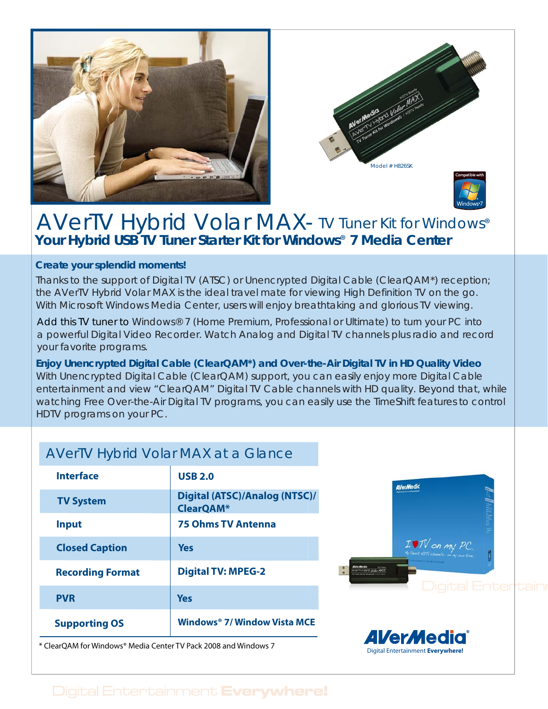



# **Your Hybrid USB TV Tuner Starter Kit for Windows**® **7 Media Center** AVerTV Hybrid Volar MAX- TV Tuner Kit for Windows®

### **Create your splendid moments!**

Thanks to the support of Digital TV (ATSC) or Unencrypted Digital Cable (ClearQAM\*) reception; the AVerTV Hybrid Volar MAX is the ideal travel mate for viewing High Definition TV on the go. With Microsoft Windows Media Center, users will enjoy breathtaking and glorious TV viewing.

Add this TV tuner to Windows® 7 (Home Premium, Professional or Ultimate) to turn your PC into a powerful Digital Video Recorder. Watch Analog and Digital TV channels plus radio and record your favorite programs.

With Unencrypted Digital Cable (ClearQAM) support, you can easily enjoy more Digital Cable entertainment and view "ClearQAM" Digital TV Cable channels with HD quality. Beyond that, while watching Free Over-the-Air Digital TV programs, you can easily use the TimeShift features to control HDTV programs on your PC. **Enjoy Unencrypted Digital Cable (ClearQAM\*) and Over-the-Air Digital TV in HD Quality Video**

# AVerTV Hybrid Volar MAX at a Glance

| Interface               | <b>USB 2.0</b>                                    |
|-------------------------|---------------------------------------------------|
| <b>TV System</b>        | Digital (ATSC)/Analog (NTSC)/<br><b>ClearQAM*</b> |
| <b>Input</b>            | <b>75 Ohms TV Antenna</b>                         |
| <b>Closed Caption</b>   | Yes                                               |
| <b>Recording Format</b> | <b>Digital TV: MPEG-2</b>                         |
| <b>PVR</b>              | Yes                                               |
| <b>Supporting OS</b>    | Windows <sup>®</sup> 7/ Window Vista MCE          |

\* ClearQAM for Windows® Media Center TV Pack 2008 and Windows 7





# Digital Entertainment Everywhere!